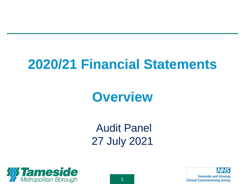## **2020/21 Financial Statements**

### **Overview**

Audit Panel 27 July 2021



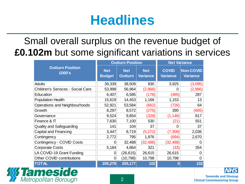## **Headlines**

Small overall surplus on the revenue budget of **£0.102m** but some significant variations in services

|                                   |                             | <b>Outturn Position</b>      | <b>Net Variance</b>           |                                 |                                     |
|-----------------------------------|-----------------------------|------------------------------|-------------------------------|---------------------------------|-------------------------------------|
| <b>Outturn Position</b><br>£000's | <b>Net</b><br><b>Budget</b> | <b>Net</b><br><b>Outturn</b> | <b>Net</b><br><b>Variance</b> | <b>COVID</b><br><b>Variance</b> | <b>Non-COVID</b><br><b>Variance</b> |
| <b>Adults</b>                     | 39,339                      | 38,509                       | 830                           | 3,925                           | (3,095)                             |
| Children's Services - Social Care | 53,998                      | 56,964                       | (2,966)                       | 0                               | (2,966)                             |
| Education                         | 6,407                       | 6,585                        | (178)                         | (465)                           | 287                                 |
| <b>Population Health</b>          | 15,619                      | 14,453                       | 1,166                         | 1,153                           | 13                                  |
| Operations and Neighbourhoods     | 52,921                      | 53,584                       | (662)                         | (726)                           | 64                                  |
| Growth                            | 8,297                       | 8,572                        | (275)                         | 390                             | (665)                               |
| Governance                        | 9,524                       | 9,854                        | (329)                         | (1, 146)                        | 817                                 |
| Finance & IT                      | 7,630                       | 7,100                        | 530                           | (21)                            | 551                                 |
| Quality and Safeguarding          | 141                         | 104                          | 37                            | O                               | 37                                  |
| Capital and Financing             | 3,447                       | 8,719                        | (5,272)                       | (7,308)                         | 2,036                               |
| Contingency                       | 2,772                       | 795                          | 1,976                         | (694)                           | 2,670                               |
| Contingency - COVID Costs         | 0                           | 32,488                       | (32, 488)                     | (32, 488)                       | 0                                   |
| <b>Corporate Costs</b>            | 5,184                       | 4,864                        | 321                           | (33)                            | 354                                 |
| LA COVID-19 Grant Funding         | $\overline{0}$              | (26, 615)                    | 26,615                        | 26,615                          | 0                                   |
| Other COVID contributions         | 0                           | (10, 798)                    | 10,798                        | 10,798                          | $\Omega$                            |
| <b>TOTAL</b>                      | 205,279                     | 205,177                      | 102                           |                                 | 102                                 |

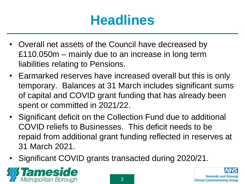# **Headlines**

- Overall net assets of the Council have decreased by £110.050m – mainly due to an increase in long term liabilities relating to Pensions.
- Earmarked reserves have increased overall but this is only temporary. Balances at 31 March includes significant sums of capital and COVID grant funding that has already been spent or committed in 2021/22.
- Significant deficit on the Collection Fund due to additional COVID reliefs to Businesses. This deficit needs to be repaid from additional grant funding reflected in reserves at 31 March 2021.
- Significant COVID grants transacted during 2020/21.



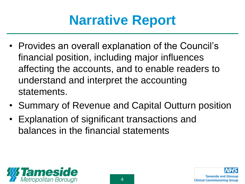# **Narrative Report**

- Provides an overall explanation of the Council's financial position, including major influences affecting the accounts, and to enable readers to understand and interpret the accounting statements.
- Summary of Revenue and Capital Outturn position
- Explanation of significant transactions and balances in the financial statements



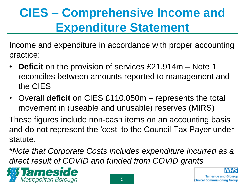### **CIES – Comprehensive Income and Expenditure Statement**

Income and expenditure in accordance with proper accounting practice:

- **Deficit** on the provision of services £21.914m Note 1 reconciles between amounts reported to management and the CIES
- Overall **deficit** on CIES £110.050m represents the total movement in (useable and unusable) reserves (MIRS)

These figures include non-cash items on an accounting basis and do not represent the 'cost' to the Council Tax Payer under statute.

\**Note that Corporate Costs includes expenditure incurred as a direct result of COVID and funded from COVID grants*

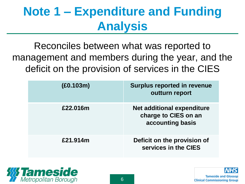### **Note 1 – Expenditure and Funding Analysis**

Reconciles between what was reported to management and members during the year, and the deficit on the provision of services in the CIES

| (E0.103m) | <b>Surplus reported in revenue</b><br>outturn report                   |
|-----------|------------------------------------------------------------------------|
| £22.016m  | Net additional expenditure<br>charge to CIES on an<br>accounting basis |
| £21.914m  | Deficit on the provision of<br>services in the CIES                    |

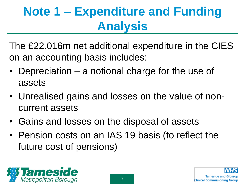## **Note 1 – Expenditure and Funding Analysis**

The £22.016m net additional expenditure in the CIES on an accounting basis includes:

- Depreciation  $-$  a notional charge for the use of assets
- Unrealised gains and losses on the value of noncurrent assets
- Gains and losses on the disposal of assets
- Pension costs on an IAS 19 basis (to reflect the future cost of pensions)



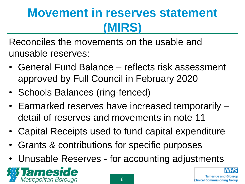### **Movement in reserves statement (MIRS)**

Reconciles the movements on the usable and unusable reserves:

- General Fund Balance reflects risk assessment approved by Full Council in February 2020
- Schools Balances (ring-fenced)
- Earmarked reserves have increased temporarily detail of reserves and movements in note 11
- Capital Receipts used to fund capital expenditure
- Grants & contributions for specific purposes
- Unusable Reserves for accounting adjustments



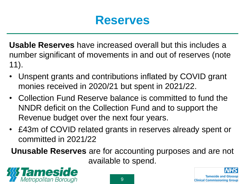#### **Reserves**

**Usable Reserves** have increased overall but this includes a number significant of movements in and out of reserves (note 11).

- Unspent grants and contributions inflated by COVID grant monies received in 2020/21 but spent in 2021/22.
- Collection Fund Reserve balance is committed to fund the NNDR deficit on the Collection Fund and to support the Revenue budget over the next four years.
- £43m of COVID related grants in reserves already spent or committed in 2021/22

**Unusable Reserves** are for accounting purposes and are not available to spend.

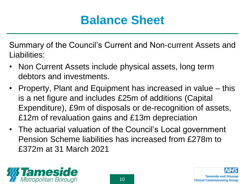### **Balance Sheet**

Summary of the Council's Current and Non-current Assets and Liabilities:

- Non Current Assets include physical assets, long term debtors and investments.
- Property, Plant and Equipment has increased in value this is a net figure and includes £25m of additions (Capital Expenditure), £9m of disposals or de-recognition of assets, £12m of revaluation gains and £13m depreciation
- The actuarial valuation of the Council's Local government Pension Scheme liabilities has increased from £278m to £372m at 31 March 2021



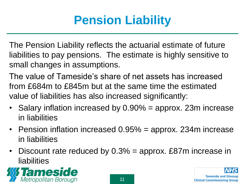### **Pension Liability**

The Pension Liability reflects the actuarial estimate of future liabilities to pay pensions. The estimate is highly sensitive to small changes in assumptions.

The value of Tameside's share of net assets has increased from £684m to £845m but at the same time the estimated value of liabilities has also increased significantly:

- Salary inflation increased by 0.90% = approx. 23m increase in liabilities
- Pension inflation increased 0.95% = approx. 234m increase in liabilities
- Discount rate reduced by  $0.3\%$  = approx. £87m increase in liabilities

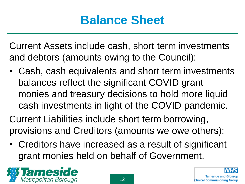### **Balance Sheet**

Current Assets include cash, short term investments and debtors (amounts owing to the Council):

• Cash, cash equivalents and short term investments balances reflect the significant COVID grant monies and treasury decisions to hold more liquid cash investments in light of the COVID pandemic.

Current Liabilities include short term borrowing, provisions and Creditors (amounts we owe others):

• Creditors have increased as a result of significant grant monies held on behalf of Government.



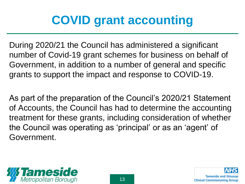### **COVID grant accounting**

During 2020/21 the Council has administered a significant number of Covid-19 grant schemes for business on behalf of Government, in addition to a number of general and specific grants to support the impact and response to COVID-19.

As part of the preparation of the Council's 2020/21 Statement of Accounts, the Council has had to determine the accounting treatment for these grants, including consideration of whether the Council was operating as 'principal' or as an 'agent' of Government.

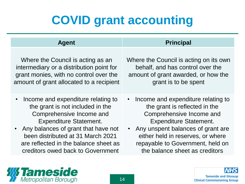### **COVID grant accounting**

| <b>Agent</b>                                                                                                                                                                                                                                                                                               | <b>Principal</b>                                                                                                                                                                                                                                                                     |  |  |  |
|------------------------------------------------------------------------------------------------------------------------------------------------------------------------------------------------------------------------------------------------------------------------------------------------------------|--------------------------------------------------------------------------------------------------------------------------------------------------------------------------------------------------------------------------------------------------------------------------------------|--|--|--|
| Where the Council is acting as an<br>intermediary or a distribution point for<br>grant monies, with no control over the<br>amount of grant allocated to a recipient                                                                                                                                        | Where the Council is acting on its own<br>behalf, and has control over the<br>amount of grant awarded, or how the<br>grant is to be spent                                                                                                                                            |  |  |  |
| Income and expenditure relating to<br>$\bullet$<br>the grant is not included in the<br>Comprehensive Income and<br><b>Expenditure Statement.</b><br>Any balances of grant that have not<br>been distributed at 31 March 2021<br>are reflected in the balance sheet as<br>creditors owed back to Government | • Income and expenditure relating to<br>the grant is reflected in the<br>Comprehensive Income and<br><b>Expenditure Statement.</b><br>• Any unspent balances of grant are<br>either held in reserves, or where<br>repayable to Government, held on<br>the balance sheet as creditors |  |  |  |

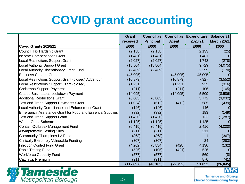### **COVID grant accounting**

|                                                                   | Grant      | <b>Council as</b> | <b>Council as</b> | <b>Expenditure</b> | <b>Balance 31</b> |
|-------------------------------------------------------------------|------------|-------------------|-------------------|--------------------|-------------------|
|                                                                   | received   | <b>Principal</b>  | <b>Agent</b>      | 2020/21            | <b>March 2021</b> |
| Covid Grants 2020/21                                              | £000       | £000              | £000              | £000               | £000              |
| Council Tax Hardship Grant                                        | (2, 158)   | (2, 158)          |                   | 2,133              | (25)              |
| Income Compensation Grant                                         | (1,481)    | (1,481)           |                   | 1,481              |                   |
| <b>Local Restrictions Support Grant</b>                           | (2,027)    | (2,027)           |                   | 1,748              | (278)             |
| <b>Local Authority Support Grant</b>                              | (13,804)   | (13,804)          |                   | 9,729              | (4,075)           |
| Local Authority Discretionary Grant Fund                          | (2,469)    | (2,469)           |                   | 2,299              | (170)             |
| <b>Business Support Grant</b>                                     | (45,095)   |                   | (45,095)          | 45,095             |                   |
| Local Restrictions Support Grant (closed) Addendum                | (10, 879)  |                   | (10, 879)         | 7,327              | (3, 552)          |
| Local Restrictions Support Grant (closed)                         | (1,251)    |                   | (1,251)           | 935                | (316)             |
| <b>Christmas Support Payment</b>                                  | (211)      |                   | (211)             | 106                | (105)             |
| Closed Businesses Lockdown Payment                                | (14,095)   |                   | (14,095)          | 5,509              | (8,586)           |
| <b>Additional Restrictions Grant</b>                              | (6,803)    | (6,803)           |                   | 3,772              | (3,032)           |
| <b>Test and Trace Support Payments Grant</b>                      | (1,024)    | (612)             | (412)             | 585                | (439)             |
| Local Authority Compliance and Enforcement Grant                  | (146)      | (146)             |                   | 146                |                   |
| <b>Emergency Assistance Grant for Food and Essential Supplies</b> | (332)      | (332)             |                   | 183                | (149)             |
| <b>Test and Trace Support Grant</b>                               | (1,420)    | (1,420)           |                   | 133                | (1, 287)          |
| <b>Winter Grant Scheme</b>                                        | (1, 125)   | (1, 125)          |                   | 1,125              |                   |
| Contain Outbreak Management Fund                                  | (6, 415)   | (6, 415)          |                   | 2,416              | (4,000)           |
| <b>Asymptomatic Testing Sites</b>                                 | (211)      | (211)             |                   | 211                |                   |
| <b>Community Champions LA Fund</b>                                | (368)      | (368)             |                   |                    | (367)             |
| <b>Clinically Extremely Vulnerable Funding</b>                    | (307)      | (307)             |                   | 24                 | (283)             |
| <b>Infection Control Fund Grant</b>                               | (4,262)    | (3,834)           | (428)             | 4,130              | (132)             |
| <b>Rapid Testing Fund</b>                                         | (526)      | (105)             | (421)             | 526                |                   |
| <b>Workforce Capacity Fund</b>                                    | (577)      | (577)             |                   | 569                | (8)               |
| Catch Up Premium                                                  | (911)      | (911)             |                   | 870                | (41)              |
|                                                                   | (117, 897) | (45, 105)         | (72, 792)         | 91,052             | (26, 845)         |